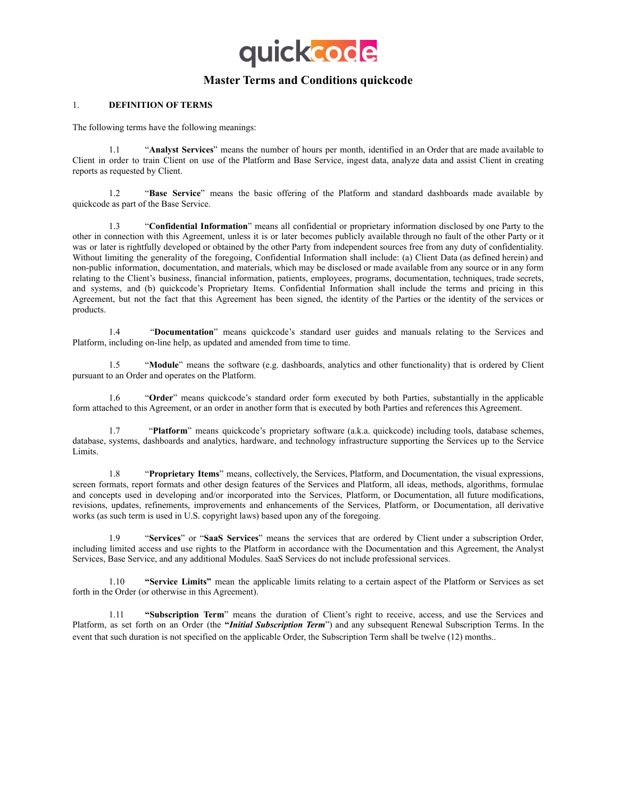

# **Master Terms and Conditions quickcode**

### 1. **DEFINITION OF TERMS**

The following terms have the following meanings:

1.1 "**Analyst Services**" means the number of hours per month, identified in an Order that are made available to Client in order to train Client on use of the Platform and Base Service, ingest data, analyze data and assist Client in creating reports as requested by Client.

1.2 "**Base Service**" means the basic offering of the Platform and standard dashboards made available by quickcode as part of the Base Service.

1.3 "**Confidential Information**" means all confidential or proprietary information disclosed by one Party to the other in connection with this Agreement, unless it is or later becomes publicly available through no fault of the other Party or it was or later is rightfully developed or obtained by the other Party from independent sources free from any duty of confidentiality. Without limiting the generality of the foregoing, Confidential Information shall include: (a) Client Data (as defined herein) and non-public information, documentation, and materials, which may be disclosed or made available from any source or in any form relating to the Client's business, financial information, patients, employees, programs, documentation, techniques, trade secrets, and systems, and (b) quickcode's Proprietary Items. Confidential Information shall include the terms and pricing in this Agreement, but not the fact that this Agreement has been signed, the identity of the Parties or the identity of the services or products.

1.4 "**Documentation**" means quickcode's standard user guides and manuals relating to the Services and Platform, including on-line help, as updated and amended from time to time.

1.5 "**Module**" means the software (e.g. dashboards, analytics and other functionality) that is ordered by Client pursuant to an Order and operates on the Platform.

1.6 "**Order**" means quickcode's standard order form executed by both Parties, substantially in the applicable form attached to this Agreement, or an order in another form that is executed by both Parties and references this Agreement.

1.7 "**Platform**" means quickcode's proprietary software (a.k.a. quickcode) including tools, database schemes, database, systems, dashboards and analytics, hardware, and technology infrastructure supporting the Services up to the Service Limits.

1.8 "**Proprietary Items**" means, collectively, the Services, Platform, and Documentation, the visual expressions, screen formats, report formats and other design features of the Services and Platform, all ideas, methods, algorithms, formulae and concepts used in developing and/or incorporated into the Services, Platform, or Documentation, all future modifications, revisions, updates, refinements, improvements and enhancements of the Services, Platform, or Documentation, all derivative works (as such term is used in U.S. copyright laws) based upon any of the foregoing.

1.9 "**Services**" or "**SaaS Services**" means the services that are ordered by Client under a subscription Order, including limited access and use rights to the Platform in accordance with the Documentation and this Agreement, the Analyst Services, Base Service, and any additional Modules. SaaS Services do not include professional services.

1.10 **"Service Limits"** mean the applicable limits relating to a certain aspect of the Platform or Services as set forth in the Order (or otherwise in this Agreement).

1.11 **"Subscription Term**" means the duration of Client's right to receive, access, and use the Services and Platform, as set forth on an Order (the **"***Initial Subscription Term*") and any subsequent Renewal Subscription Terms. In the event that such duration is not specified on the applicable Order, the Subscription Term shall be twelve (12) months..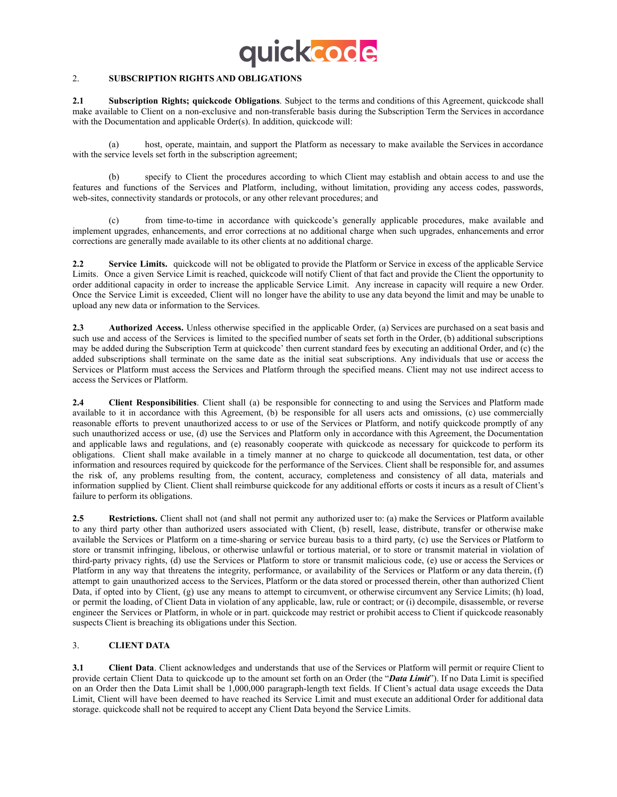

## 2. **SUBSCRIPTION RIGHTS AND OBLIGATIONS**

**2.1 Subscription Rights; quickcode Obligations**. Subject to the terms and conditions of this Agreement, quickcode shall make available to Client on a non-exclusive and non-transferable basis during the Subscription Term the Services in accordance with the Documentation and applicable Order(s). In addition, quickcode will:

(a) host, operate, maintain, and support the Platform as necessary to make available the Services in accordance with the service levels set forth in the subscription agreement;

(b) specify to Client the procedures according to which Client may establish and obtain access to and use the features and functions of the Services and Platform, including, without limitation, providing any access codes, passwords, web-sites, connectivity standards or protocols, or any other relevant procedures; and

(c) from time-to-time in accordance with quickcode's generally applicable procedures, make available and implement upgrades, enhancements, and error corrections at no additional charge when such upgrades, enhancements and error corrections are generally made available to its other clients at no additional charge.

**2.2 Service Limits.** quickcode will not be obligated to provide the Platform or Service in excess of the applicable Service Limits. Once a given Service Limit is reached, quickcode will notify Client of that fact and provide the Client the opportunity to order additional capacity in order to increase the applicable Service Limit. Any increase in capacity will require a new Order. Once the Service Limit is exceeded, Client will no longer have the ability to use any data beyond the limit and may be unable to upload any new data or information to the Services.

**2.3 Authorized Access.** Unless otherwise specified in the applicable Order, (a) Services are purchased on a seat basis and such use and access of the Services is limited to the specified number of seats set forth in the Order, (b) additional subscriptions may be added during the Subscription Term at quickcode' then current standard fees by executing an additional Order, and (c) the added subscriptions shall terminate on the same date as the initial seat subscriptions. Any individuals that use or access the Services or Platform must access the Services and Platform through the specified means. Client may not use indirect access to access the Services or Platform.

**2.4 Client Responsibilities**. Client shall (a) be responsible for connecting to and using the Services and Platform made available to it in accordance with this Agreement, (b) be responsible for all users acts and omissions, (c) use commercially reasonable efforts to prevent unauthorized access to or use of the Services or Platform, and notify quickcode promptly of any such unauthorized access or use, (d) use the Services and Platform only in accordance with this Agreement, the Documentation and applicable laws and regulations, and (e) reasonably cooperate with quickcode as necessary for quickcode to perform its obligations. Client shall make available in a timely manner at no charge to quickcode all documentation, test data, or other information and resources required by quickcode for the performance of the Services. Client shall be responsible for, and assumes the risk of, any problems resulting from, the content, accuracy, completeness and consistency of all data, materials and information supplied by Client. Client shall reimburse quickcode for any additional efforts or costs it incurs as a result of Client's failure to perform its obligations.

**2.5 Restrictions.** Client shall not (and shall not permit any authorized user to: (a) make the Services or Platform available to any third party other than authorized users associated with Client, (b) resell, lease, distribute, transfer or otherwise make available the Services or Platform on a time-sharing or service bureau basis to a third party, (c) use the Services or Platform to store or transmit infringing, libelous, or otherwise unlawful or tortious material, or to store or transmit material in violation of third-party privacy rights, (d) use the Services or Platform to store or transmit malicious code, (e) use or access the Services or Platform in any way that threatens the integrity, performance, or availability of the Services or Platform or any data therein, (f) attempt to gain unauthorized access to the Services, Platform or the data stored or processed therein, other than authorized Client Data, if opted into by Client, (g) use any means to attempt to circumvent, or otherwise circumvent any Service Limits; (h) load, or permit the loading, of Client Data in violation of any applicable, law, rule or contract; or (i) decompile, disassemble, or reverse engineer the Services or Platform, in whole or in part. quickcode may restrict or prohibit access to Client if quickcode reasonably suspects Client is breaching its obligations under this Section.

### 3. **CLIENT DATA**

**3.1 Client Data**. Client acknowledges and understands that use of the Services or Platform will permit or require Client to provide certain Client Data to quickcode up to the amount set forth on an Order (the "*Data Limit*"). If no Data Limit is specified on an Order then the Data Limit shall be 1,000,000 paragraph-length text fields. If Client's actual data usage exceeds the Data Limit, Client will have been deemed to have reached its Service Limit and must execute an additional Order for additional data storage. quickcode shall not be required to accept any Client Data beyond the Service Limits.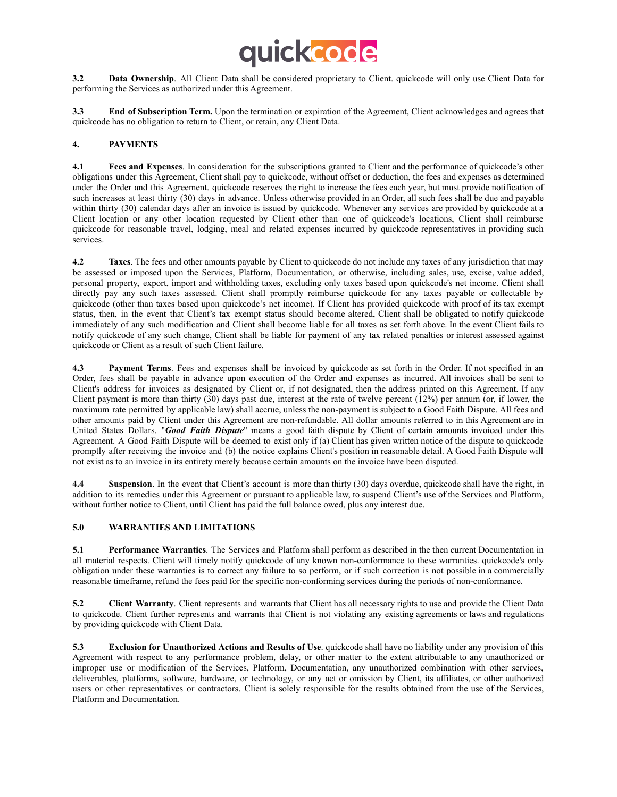

**3.2 Data Ownership**. All Client Data shall be considered proprietary to Client. quickcode will only use Client Data for performing the Services as authorized under this Agreement.

**3.3 End of Subscription Term.** Upon the termination or expiration of the Agreement, Client acknowledges and agrees that quickcode has no obligation to return to Client, or retain, any Client Data.

### **4. PAYMENTS**

**4.1 Fees and Expenses**. In consideration for the subscriptions granted to Client and the performance of quickcode's other obligations under this Agreement, Client shall pay to quickcode, without offset or deduction, the fees and expenses as determined under the Order and this Agreement. quickcode reserves the right to increase the fees each year, but must provide notification of such increases at least thirty (30) days in advance. Unless otherwise provided in an Order, all such fees shall be due and payable within thirty (30) calendar days after an invoice is issued by quickcode. Whenever any services are provided by quickcode at a Client location or any other location requested by Client other than one of quickcode's locations, Client shall reimburse quickcode for reasonable travel, lodging, meal and related expenses incurred by quickcode representatives in providing such services.

**4.2 Taxes**. The fees and other amounts payable by Client to quickcode do not include any taxes of any jurisdiction that may be assessed or imposed upon the Services, Platform, Documentation, or otherwise, including sales, use, excise, value added, personal property, export, import and withholding taxes, excluding only taxes based upon quickcode's net income. Client shall directly pay any such taxes assessed. Client shall promptly reimburse quickcode for any taxes payable or collectable by quickcode (other than taxes based upon quickcode's net income). If Client has provided quickcode with proof of its tax exempt status, then, in the event that Client's tax exempt status should become altered, Client shall be obligated to notify quickcode immediately of any such modification and Client shall become liable for all taxes as set forth above. In the event Client fails to notify quickcode of any such change, Client shall be liable for payment of any tax related penalties or interest assessed against quickcode or Client as a result of such Client failure.

**4.3 Payment Terms**. Fees and expenses shall be invoiced by quickcode as set forth in the Order. If not specified in an Order, fees shall be payable in advance upon execution of the Order and expenses as incurred. All invoices shall be sent to Client's address for invoices as designated by Client or, if not designated, then the address printed on this Agreement. If any Client payment is more than thirty  $(30)$  days past due, interest at the rate of twelve percent  $(12%)$  per annum (or, if lower, the maximum rate permitted by applicable law) shall accrue, unless the non-payment is subject to a Good Faith Dispute. All fees and other amounts paid by Client under this Agreement are non-refundable. All dollar amounts referred to in this Agreement are in United States Dollars. "*Good Faith Dispute*" means a good faith dispute by Client of certain amounts invoiced under this Agreement. A Good Faith Dispute will be deemed to exist only if (a) Client has given written notice of the dispute to quickcode promptly after receiving the invoice and (b) the notice explains Client's position in reasonable detail. A Good Faith Dispute will not exist as to an invoice in its entirety merely because certain amounts on the invoice have been disputed.

**4.4 Suspension**. In the event that Client's account is more than thirty (30) days overdue, quickcode shall have the right, in addition to its remedies under this Agreement or pursuant to applicable law, to suspend Client's use of the Services and Platform, without further notice to Client, until Client has paid the full balance owed, plus any interest due.

## **5.0 WARRANTIES AND LIMITATIONS**

**5.1 Performance Warranties**. The Services and Platform shall perform as described in the then current Documentation in all material respects. Client will timely notify quickcode of any known non-conformance to these warranties. quickcode's only obligation under these warranties is to correct any failure to so perform, or if such correction is not possible in a commercially reasonable timeframe, refund the fees paid for the specific non-conforming services during the periods of non-conformance.

**5.2 Client Warranty**. Client represents and warrants that Client has all necessary rights to use and provide the Client Data to quickcode. Client further represents and warrants that Client is not violating any existing agreements or laws and regulations by providing quickcode with Client Data.

**5.3 Exclusion for Unauthorized Actions and Results of Use**. quickcode shall have no liability under any provision of this Agreement with respect to any performance problem, delay, or other matter to the extent attributable to any unauthorized or improper use or modification of the Services, Platform, Documentation, any unauthorized combination with other services, deliverables, platforms, software, hardware, or technology, or any act or omission by Client, its affiliates, or other authorized users or other representatives or contractors. Client is solely responsible for the results obtained from the use of the Services, Platform and Documentation.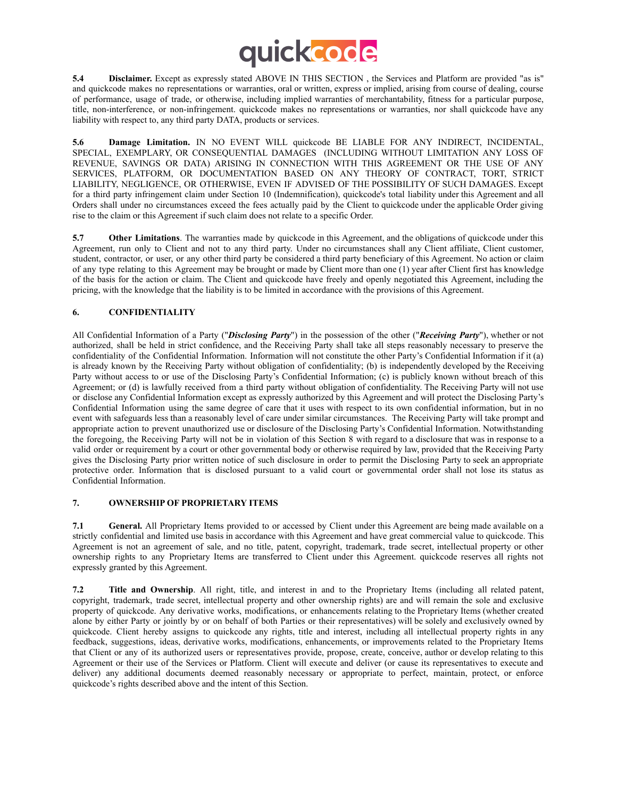

**5.4 Disclaimer.** Except as expressly stated ABOVE IN THIS SECTION , the Services and Platform are provided "as is" and quickcode makes no representations or warranties, oral or written, express or implied, arising from course of dealing, course of performance, usage of trade, or otherwise, including implied warranties of merchantability, fitness for a particular purpose, title, non-interference, or non-infringement. quickcode makes no representations or warranties, nor shall quickcode have any liability with respect to, any third party DATA, products or services.

**5.6 Damage Limitation.** IN NO EVENT WILL quickcode BE LIABLE FOR ANY INDIRECT, INCIDENTAL, SPECIAL, EXEMPLARY, OR CONSEQUENTIAL DAMAGES (INCLUDING WITHOUT LIMITATION ANY LOSS OF REVENUE, SAVINGS OR DATA) ARISING IN CONNECTION WITH THIS AGREEMENT OR THE USE OF ANY SERVICES, PLATFORM, OR DOCUMENTATION BASED ON ANY THEORY OF CONTRACT, TORT, STRICT LIABILITY, NEGLIGENCE, OR OTHERWISE, EVEN IF ADVISED OF THE POSSIBILITY OF SUCH DAMAGES. Except for a third party infringement claim under Section 10 (Indemnification), quickcode's total liability under this Agreement and all Orders shall under no circumstances exceed the fees actually paid by the Client to quickcode under the applicable Order giving rise to the claim or this Agreement if such claim does not relate to a specific Order.

**5.7 Other Limitations**. The warranties made by quickcode in this Agreement, and the obligations of quickcode under this Agreement, run only to Client and not to any third party. Under no circumstances shall any Client affiliate, Client customer, student, contractor, or user, or any other third party be considered a third party beneficiary of this Agreement. No action or claim of any type relating to this Agreement may be brought or made by Client more than one (1) year after Client first has knowledge of the basis for the action or claim. The Client and quickcode have freely and openly negotiated this Agreement, including the pricing, with the knowledge that the liability is to be limited in accordance with the provisions of this Agreement.

## **6. CONFIDENTIALITY**

All Confidential Information of a Party ("*Disclosing Party*") in the possession of the other ("*Receiving Party*"), whether or not authorized, shall be held in strict confidence, and the Receiving Party shall take all steps reasonably necessary to preserve the confidentiality of the Confidential Information. Information will not constitute the other Party's Confidential Information if it (a) is already known by the Receiving Party without obligation of confidentiality; (b) is independently developed by the Receiving Party without access to or use of the Disclosing Party's Confidential Information; (c) is publicly known without breach of this Agreement; or (d) is lawfully received from a third party without obligation of confidentiality. The Receiving Party will not use or disclose any Confidential Information except as expressly authorized by this Agreement and will protect the Disclosing Party's Confidential Information using the same degree of care that it uses with respect to its own confidential information, but in no event with safeguards less than a reasonably level of care under similar circumstances. The Receiving Party will take prompt and appropriate action to prevent unauthorized use or disclosure of the Disclosing Party's Confidential Information. Notwithstanding the foregoing, the Receiving Party will not be in violation of this Section 8 with regard to a disclosure that was in response to a valid order or requirement by a court or other governmental body or otherwise required by law, provided that the Receiving Party gives the Disclosing Party prior written notice of such disclosure in order to permit the Disclosing Party to seek an appropriate protective order. Information that is disclosed pursuant to a valid court or governmental order shall not lose its status as Confidential Information.

## **7. OWNERSHIP OF PROPRIETARY ITEMS**

**7.1 General.** All Proprietary Items provided to or accessed by Client under this Agreement are being made available on a strictly confidential and limited use basis in accordance with this Agreement and have great commercial value to quickcode. This Agreement is not an agreement of sale, and no title, patent, copyright, trademark, trade secret, intellectual property or other ownership rights to any Proprietary Items are transferred to Client under this Agreement. quickcode reserves all rights not expressly granted by this Agreement.

**7.2 Title and Ownership**. All right, title, and interest in and to the Proprietary Items (including all related patent, copyright, trademark, trade secret, intellectual property and other ownership rights) are and will remain the sole and exclusive property of quickcode. Any derivative works, modifications, or enhancements relating to the Proprietary Items (whether created alone by either Party or jointly by or on behalf of both Parties or their representatives) will be solely and exclusively owned by quickcode. Client hereby assigns to quickcode any rights, title and interest, including all intellectual property rights in any feedback, suggestions, ideas, derivative works, modifications, enhancements, or improvements related to the Proprietary Items that Client or any of its authorized users or representatives provide, propose, create, conceive, author or develop relating to this Agreement or their use of the Services or Platform. Client will execute and deliver (or cause its representatives to execute and deliver) any additional documents deemed reasonably necessary or appropriate to perfect, maintain, protect, or enforce quickcode's rights described above and the intent of this Section.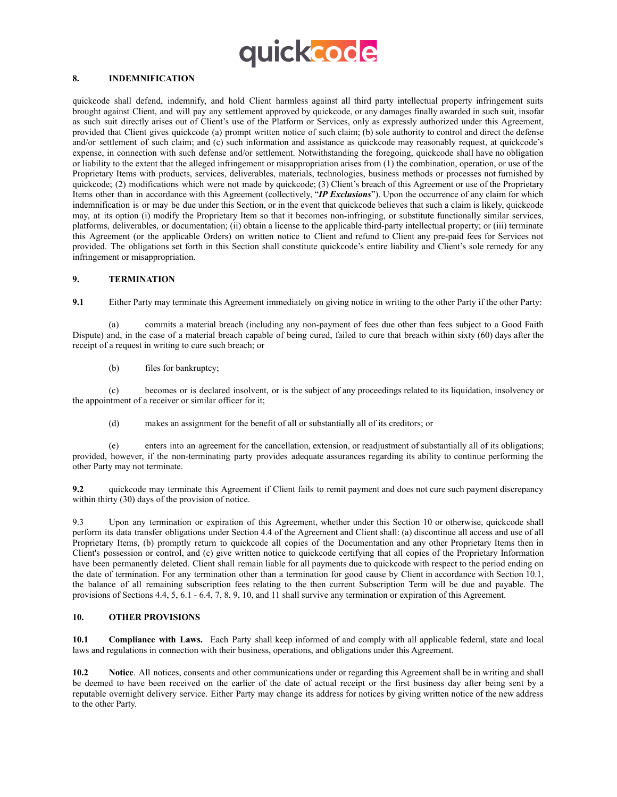

### **8. INDEMNIFICATION**

quickcode shall defend, indemnify, and hold Client harmless against all third party intellectual property infringement suits brought against Client, and will pay any settlement approved by quickcode, or any damages finally awarded in such suit, insofar as such suit directly arises out of Client's use of the Platform or Services, only as expressly authorized under this Agreement, provided that Client gives quickcode (a) prompt written notice of such claim; (b) sole authority to control and direct the defense and/or settlement of such claim; and (c) such information and assistance as quickcode may reasonably request, at quickcode's expense, in connection with such defense and/or settlement. Notwithstanding the foregoing, quickcode shall have no obligation or liability to the extent that the alleged infringement or misappropriation arises from (1) the combination, operation, or use of the Proprietary Items with products, services, deliverables, materials, technologies, business methods or processes not furnished by quickcode; (2) modifications which were not made by quickcode; (3) Client's breach of this Agreement or use of the Proprietary Items other than in accordance with this Agreement (collectively, "*IP Exclusions*"). Upon the occurrence of any claim for which indemnification is or may be due under this Section, or in the event that quickcode believes that such a claim is likely, quickcode may, at its option (i) modify the Proprietary Item so that it becomes non-infringing, or substitute functionally similar services, platforms, deliverables, or documentation; (ii) obtain a license to the applicable third-party intellectual property; or (iii) terminate this Agreement (or the applicable Orders) on written notice to Client and refund to Client any pre-paid fees for Services not provided. The obligations set forth in this Section shall constitute quickcode's entire liability and Client's sole remedy for any infringement or misappropriation.

#### **9. TERMINATION**

**9.1** Either Party may terminate this Agreement immediately on giving notice in writing to the other Party if the other Party:

(a) commits a material breach (including any non-payment of fees due other than fees subject to a Good Faith Dispute) and, in the case of a material breach capable of being cured, failed to cure that breach within sixty (60) days after the receipt of a request in writing to cure such breach; or

(b) files for bankruptcy;

(c) becomes or is declared insolvent, or is the subject of any proceedings related to its liquidation, insolvency or the appointment of a receiver or similar officer for it;

(d) makes an assignment for the benefit of all or substantially all of its creditors; or

(e) enters into an agreement for the cancellation, extension, or readjustment of substantially all of its obligations; provided, however, if the non-terminating party provides adequate assurances regarding its ability to continue performing the other Party may not terminate.

**9.2** quickcode may terminate this Agreement if Client fails to remit payment and does not cure such payment discrepancy within thirty (30) days of the provision of notice.

9.3 Upon any termination or expiration of this Agreement, whether under this Section 10 or otherwise, quickcode shall perform its data transfer obligations under Section 4.4 of the Agreement and Client shall: (a) discontinue all access and use of all Proprietary Items, (b) promptly return to quickcode all copies of the Documentation and any other Proprietary Items then in Client's possession or control, and (c) give written notice to quickcode certifying that all copies of the Proprietary Information have been permanently deleted. Client shall remain liable for all payments due to quickcode with respect to the period ending on the date of termination. For any termination other than a termination for good cause by Client in accordance with Section 10.1, the balance of all remaining subscription fees relating to the then current Subscription Term will be due and payable. The provisions of Sections 4.4, 5, 6.1 - 6.4, 7, 8, 9, 10, and 11 shall survive any termination or expiration of this Agreement.

#### **10. OTHER PROVISIONS**

**10.1 Compliance with Laws.** Each Party shall keep informed of and comply with all applicable federal, state and local laws and regulations in connection with their business, operations, and obligations under this Agreement.

**10.2 Notice**. All notices, consents and other communications under or regarding this Agreement shall be in writing and shall be deemed to have been received on the earlier of the date of actual receipt or the first business day after being sent by a reputable overnight delivery service. Either Party may change its address for notices by giving written notice of the new address to the other Party.